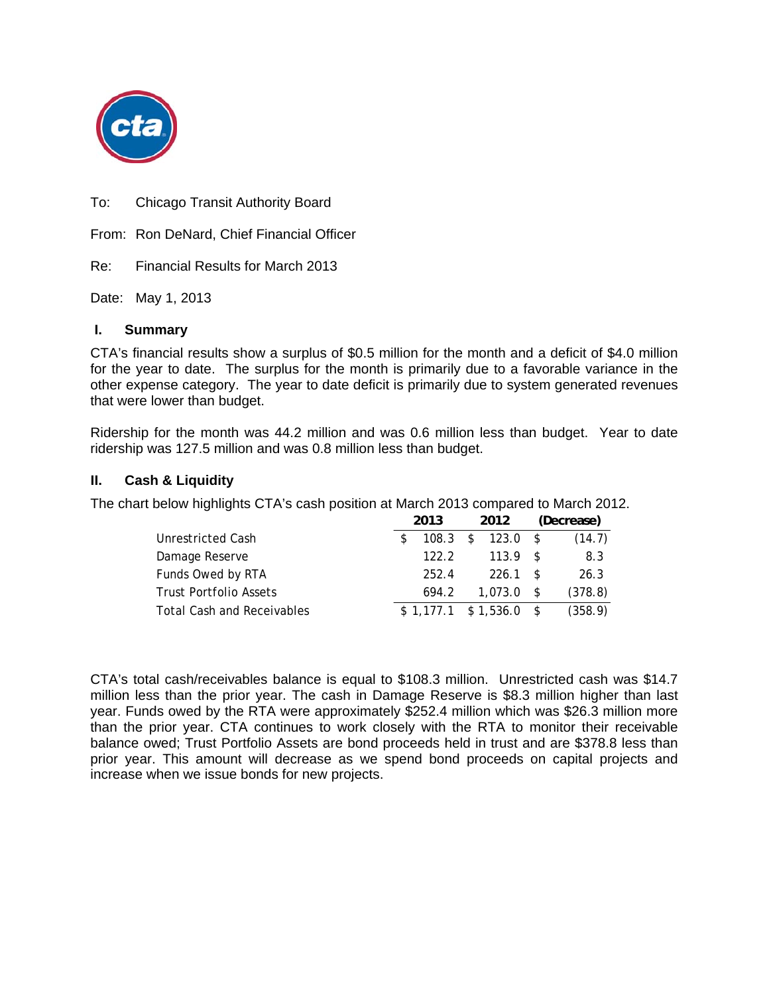

To: Chicago Transit Authority Board

From: Ron DeNard, Chief Financial Officer

Re: Financial Results for March 2013

Date: May 1, 2013

#### **I. Summary**

CTA's financial results show a surplus of \$0.5 million for the month and a deficit of \$4.0 million for the year to date. The surplus for the month is primarily due to a favorable variance in the other expense category. The year to date deficit is primarily due to system generated revenues that were lower than budget.

Ridership for the month was 44.2 million and was 0.6 million less than budget. Year to date ridership was 127.5 million and was 0.8 million less than budget.

#### **II. Cash & Liquidity**

The chart below highlights CTA's cash position at March 2013 compared to March 2012.

|                                   | 2013 |       | 2012 |                              | (Decrease) |         |
|-----------------------------------|------|-------|------|------------------------------|------------|---------|
| Unrestricted Cash                 |      |       |      | $108.3 \quad $123.0 \quad $$ |            | (14.7)  |
| Damage Reserve                    |      | 122.2 |      | $113.9$ \$                   |            | 8.3     |
| Funds Owed by RTA                 |      | 252.4 |      | $226.1$ \$                   |            | 26.3    |
| <b>Trust Portfolio Assets</b>     |      | 694.2 |      | $1.073.0$ \$                 |            | (378.8) |
| <b>Total Cash and Receivables</b> |      |       |      | $$1,177.1$ $$1,536.0$ \$     |            | (358.9) |

CTA's total cash/receivables balance is equal to \$108.3 million. Unrestricted cash was \$14.7 million less than the prior year. The cash in Damage Reserve is \$8.3 million higher than last year. Funds owed by the RTA were approximately \$252.4 million which was \$26.3 million more than the prior year. CTA continues to work closely with the RTA to monitor their receivable balance owed; Trust Portfolio Assets are bond proceeds held in trust and are \$378.8 less than prior year. This amount will decrease as we spend bond proceeds on capital projects and increase when we issue bonds for new projects.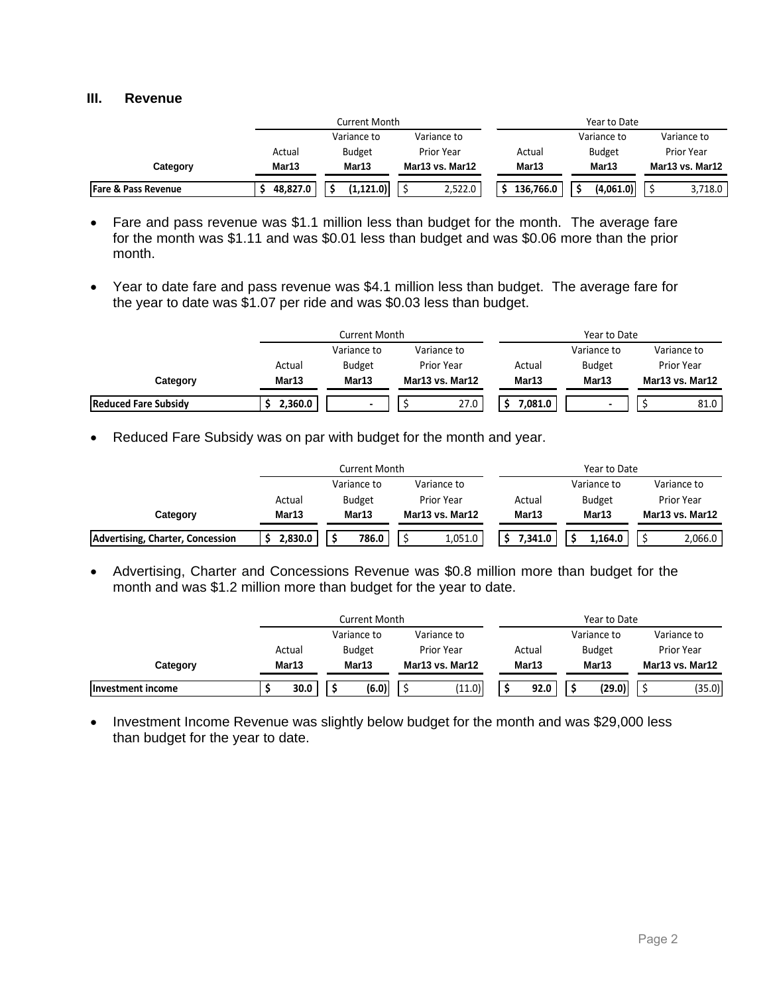#### **III. Revenue**

|                                |          | Current Month |                   |           | Year to Date  |                 |
|--------------------------------|----------|---------------|-------------------|-----------|---------------|-----------------|
|                                |          | Variance to   | Variance to       |           | Variance to   | Variance to     |
|                                | Actual   | <b>Budget</b> | <b>Prior Year</b> | Actual    | <b>Budget</b> | Prior Year      |
| Category                       | Mar13    | Mar13         | Mar13 vs. Mar12   | Mar13     | Mar13         | Mar13 vs. Mar12 |
| <b>Fare &amp; Pass Revenue</b> | 48.827.0 | (1, 121.0)    | 2,522.0           | 136,766.0 | (4,061.0)     | 3,718.0         |

- Fare and pass revenue was \$1.1 million less than budget for the month. The average fare for the month was \$1.11 and was \$0.01 less than budget and was \$0.06 more than the prior month.
- Year to date fare and pass revenue was \$4.1 million less than budget. The average fare for the year to date was \$1.07 per ride and was \$0.03 less than budget.

|                             |         | Current Month            |                 |         | Year to Date  |                   |
|-----------------------------|---------|--------------------------|-----------------|---------|---------------|-------------------|
|                             |         | Variance to              | Variance to     |         | Variance to   | Variance to       |
|                             | Actual  | <b>Budget</b>            | Prior Year      | Actual  | <b>Budget</b> | <b>Prior Year</b> |
| Category                    | Mar13   | Mar13                    | Mar13 vs. Mar12 | Mar13   | Mar13         | Mar13 vs. Mar12   |
| <b>Reduced Fare Subsidy</b> | 2,360.0 | $\overline{\phantom{0}}$ | 27.0            | 7.081.0 |               | 81.0              |

• Reduced Fare Subsidy was on par with budget for the month and year.

|                                  |         | Current Month |                 |         | Year to Date  |                 |
|----------------------------------|---------|---------------|-----------------|---------|---------------|-----------------|
|                                  |         | Variance to   | Variance to     |         | Variance to   | Variance to     |
|                                  | Actual  | <b>Budget</b> | Prior Year      | Actual  | <b>Budget</b> | Prior Year      |
| Category                         | Mar13   | Mar13         | Mar13 vs. Mar12 | Mar13   | Mar13         | Mar13 vs. Mar12 |
| Advertising, Charter, Concession | 2,830.0 | 786.0         | 1,051.0         | 7.341.0 | 1.164.0       | 2,066.0         |

 Advertising, Charter and Concessions Revenue was \$0.8 million more than budget for the month and was \$1.2 million more than budget for the year to date.

|                   |        | Current Month |  |                 |  |        | Year to Date  |                 |
|-------------------|--------|---------------|--|-----------------|--|--------|---------------|-----------------|
|                   |        | Variance to   |  | Variance to     |  |        | Variance to   | Variance to     |
|                   | Actual | Budget        |  | Prior Year      |  | Actual | <b>Budget</b> | Prior Year      |
| Category          | Mar13  | Mar13         |  | Mar13 vs. Mar12 |  | Mar13  | Mar13         | Mar13 vs. Mar12 |
| Investment income | 30.0   | (6.0)         |  | (11.0)          |  | 92.0   | (29.0)        | (35.0)          |

• Investment Income Revenue was slightly below budget for the month and was \$29,000 less than budget for the year to date.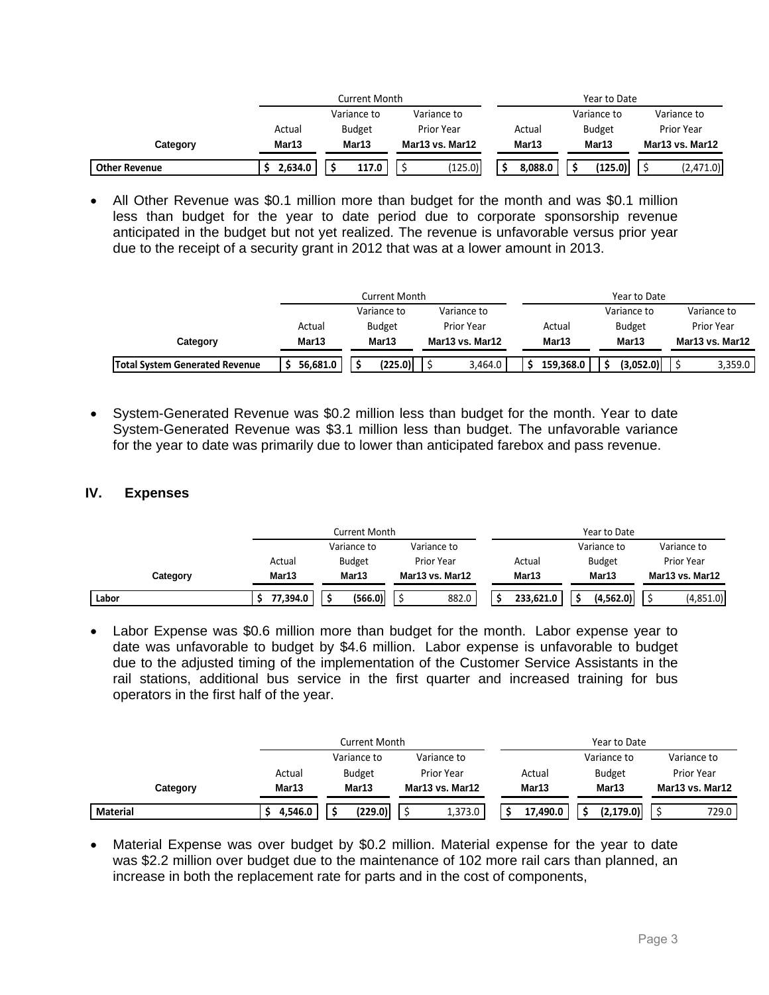|                      |         | Current Month |                   |         | Year to Date  |                 |
|----------------------|---------|---------------|-------------------|---------|---------------|-----------------|
|                      |         | Variance to   | Variance to       |         | Variance to   | Variance to     |
|                      | Actual  | <b>Budget</b> | <b>Prior Year</b> | Actual  | <b>Budget</b> | Prior Year      |
| Category             | Mar13   | Mar13         | Mar13 vs. Mar12   | Mar13   | Mar13         | Mar13 vs. Mar12 |
| <b>Other Revenue</b> | 2,634.0 | 117.0         | (125.0)           | 8,088.0 | (125.0)       | (2,471.0)       |

• All Other Revenue was \$0.1 million more than budget for the month and was \$0.1 million less than budget for the year to date period due to corporate sponsorship revenue anticipated in the budget but not yet realized. The revenue is unfavorable versus prior year due to the receipt of a security grant in 2012 that was at a lower amount in 2013.

|                                       |          | Current Month |                 |           | Year to Date  |                   |
|---------------------------------------|----------|---------------|-----------------|-----------|---------------|-------------------|
|                                       |          | Variance to   | Variance to     |           | Variance to   | Variance to       |
|                                       | Actual   | <b>Budget</b> | Prior Year      | Actual    | <b>Budget</b> | <b>Prior Year</b> |
| Category                              | Mar13    | Mar13         | Mar13 vs. Mar12 | Mar13     | Mar13         | Mar13 vs. Mar12   |
| <b>Total System Generated Revenue</b> | 56,681.0 | (225.0)       | 3,464.0         | 159.368.0 | (3.052.0)     | 3,359.0           |

• System-Generated Revenue was \$0.2 million less than budget for the month. Year to date System-Generated Revenue was \$3.1 million less than budget. The unfavorable variance for the year to date was primarily due to lower than anticipated farebox and pass revenue.

### **IV. Expenses**

|          |          | <b>Current Month</b> |                 | Year to Date |               |                   |  |
|----------|----------|----------------------|-----------------|--------------|---------------|-------------------|--|
|          |          | Variance to          | Variance to     |              | Variance to   | Variance to       |  |
|          | Actual   | <b>Budget</b>        | Prior Year      | Actual       | <b>Budget</b> | <b>Prior Year</b> |  |
| Category | Mar13    | Mar13                | Mar13 vs. Mar12 | Mar13        | Mar13         | Mar13 vs. Mar12   |  |
| Labor    | 77,394.0 | (566.0)              | 882.0           | 233,621.0    | (4,562.0)     | (4,851.0)         |  |

 Labor Expense was \$0.6 million more than budget for the month. Labor expense year to date was unfavorable to budget by \$4.6 million. Labor expense is unfavorable to budget due to the adjusted timing of the implementation of the Customer Service Assistants in the rail stations, additional bus service in the first quarter and increased training for bus operators in the first half of the year.

|          |         | Current Month |                   |          | Year to Date  |                   |
|----------|---------|---------------|-------------------|----------|---------------|-------------------|
|          |         | Variance to   | Variance to       |          | Variance to   | Variance to       |
|          | Actual  | <b>Budget</b> | <b>Prior Year</b> | Actual   | <b>Budget</b> | <b>Prior Year</b> |
| Category | Mar13   | Mar13         | Mar13 vs. Mar12   | Mar13    | Mar13         | Mar13 vs. Mar12   |
| Material | 4,546.0 | (229.0)       | 1,373.0           | 17,490.0 | (2.179.0)     | 729.0             |

• Material Expense was over budget by \$0.2 million. Material expense for the year to date was \$2.2 million over budget due to the maintenance of 102 more rail cars than planned, an increase in both the replacement rate for parts and in the cost of components,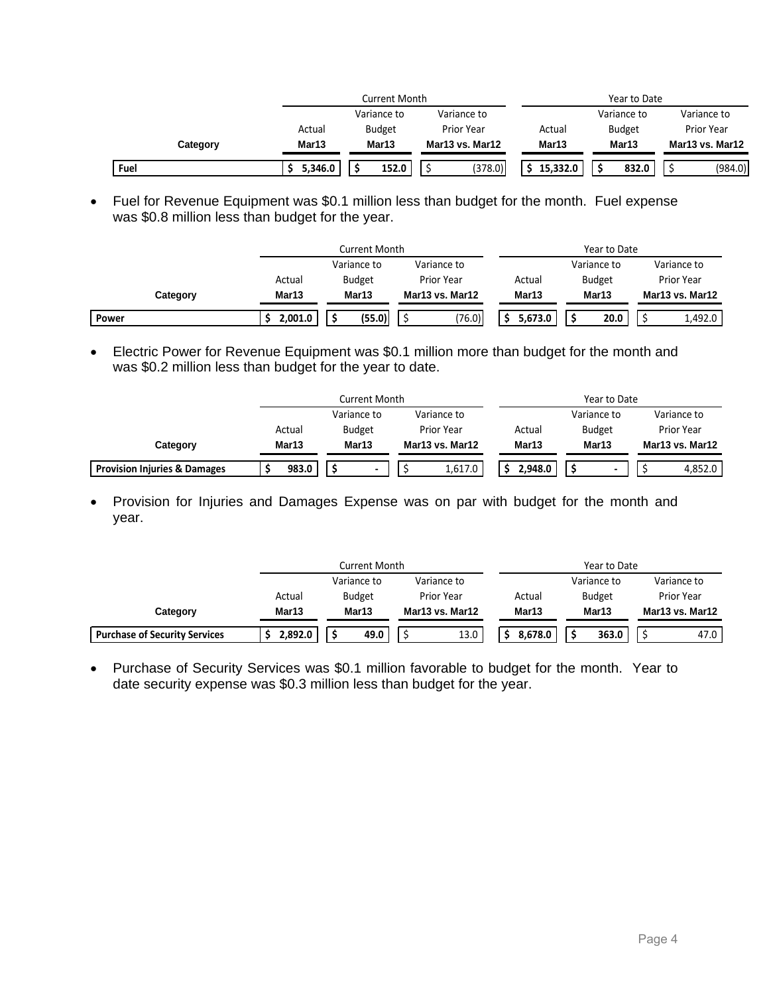|          |         | Current Month |                 |          | Year to Date  |                   |
|----------|---------|---------------|-----------------|----------|---------------|-------------------|
|          |         | Variance to   | Variance to     |          | Variance to   | Variance to       |
|          | Actual  | <b>Budget</b> | Prior Year      | Actual   | <b>Budget</b> | <b>Prior Year</b> |
| Category | Mar13   | Mar13         | Mar13 vs. Mar12 | Mar13    | Mar13         | Mar13 vs. Mar12   |
| Fuel     | 5,346.0 | 152.0         | (378.0)         | 15,332.0 | 832.0         | (984.0)           |

 Fuel for Revenue Equipment was \$0.1 million less than budget for the month. Fuel expense was \$0.8 million less than budget for the year.

|          |         | Current Month |                 |         | Year to Date  |                 |
|----------|---------|---------------|-----------------|---------|---------------|-----------------|
|          |         | Variance to   | Variance to     |         | Variance to   | Variance to     |
|          | Actual  | <b>Budget</b> | Prior Year      | Actual  | <b>Budget</b> | Prior Year      |
| Category | Mar13   | Mar13         | Mar13 vs. Mar12 | Mar13   | Mar13         | Mar13 vs. Mar12 |
| Power    | 2,001.0 | (55.0)        | (76.0)          | 5.673.0 | 20.0          | 1,492.0         |

 Electric Power for Revenue Equipment was \$0.1 million more than budget for the month and was \$0.2 million less than budget for the year to date.

|                                         |        | Current Month |                 |         | Year to Date  |                 |
|-----------------------------------------|--------|---------------|-----------------|---------|---------------|-----------------|
|                                         |        | Variance to   | Variance to     |         | Variance to   | Variance to     |
|                                         | Actual | <b>Budget</b> | Prior Year      | Actual  | <b>Budget</b> | Prior Year      |
| Category                                | Mar13  | Mar13         | Mar13 vs. Mar12 | Mar13   | Mar13         | Mar13 vs. Mar12 |
| <b>Provision Injuries &amp; Damages</b> | 983.0  |               | 1,617.0         | 2.948.0 |               | 4,852.0         |

• Provision for Injuries and Damages Expense was on par with budget for the month and year.

|                                      | Current Month |               |                 | Year to Date |               |                 |
|--------------------------------------|---------------|---------------|-----------------|--------------|---------------|-----------------|
|                                      |               | Variance to   | Variance to     |              | Variance to   | Variance to     |
|                                      | Actual        | <b>Budget</b> | Prior Year      | Actual       | <b>Budget</b> | Prior Year      |
| Category                             | Mar13         | Mar13         | Mar13 vs. Mar12 | Mar13        | Mar13         | Mar13 vs. Mar12 |
| <b>Purchase of Security Services</b> | 2,892.0       | 49.0          | 13.0            | 8.678.0      | 363.0         | 47.0            |

• Purchase of Security Services was \$0.1 million favorable to budget for the month. Year to date security expense was \$0.3 million less than budget for the year.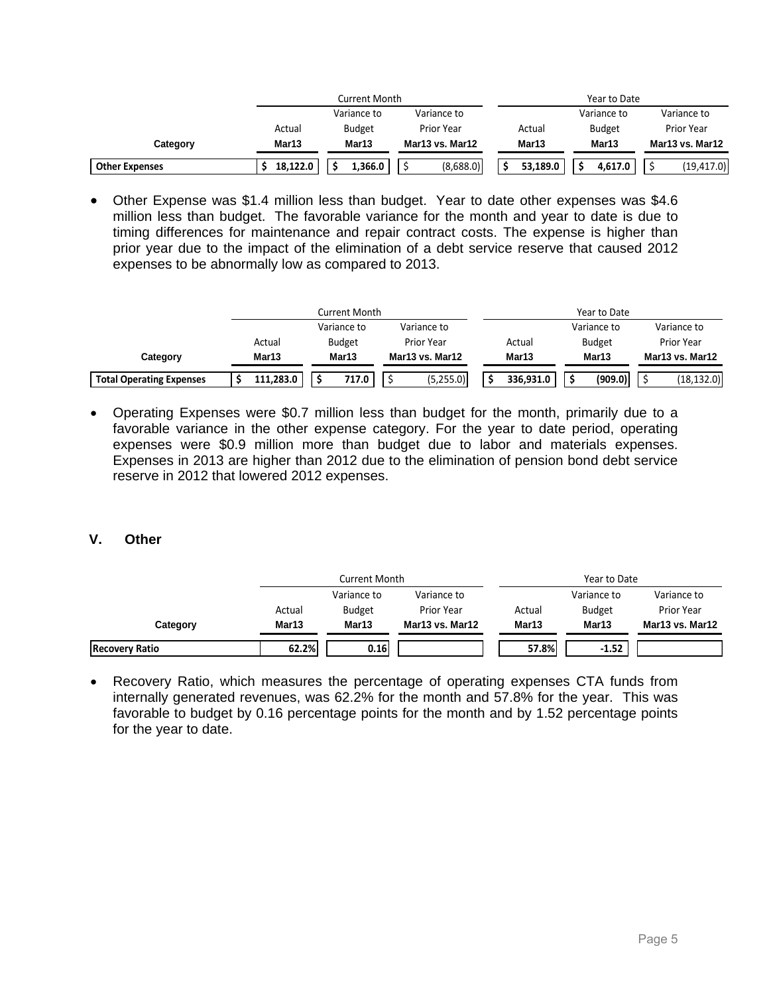|                       |          | Current Month |                 |          | Year to Date  |                   |  |
|-----------------------|----------|---------------|-----------------|----------|---------------|-------------------|--|
|                       |          | Variance to   | Variance to     |          | Variance to   | Variance to       |  |
|                       | Actual   | <b>Budget</b> | Prior Year      | Actual   | <b>Budget</b> | <b>Prior Year</b> |  |
| Category              | Mar13    | Mar13         | Mar13 vs. Mar12 | Mar13    | Mar13         | Mar13 vs. Mar12   |  |
| <b>Other Expenses</b> | 18.122.0 | 1.366.0       | (8,688.0)       | 53,189.0 | 4.617.0       | (19, 417.0)       |  |

 Other Expense was \$1.4 million less than budget. Year to date other expenses was \$4.6 million less than budget. The favorable variance for the month and year to date is due to timing differences for maintenance and repair contract costs. The expense is higher than prior year due to the impact of the elimination of a debt service reserve that caused 2012 expenses to be abnormally low as compared to 2013.

|                                 |           | Current Month |                   |           | Year to Date  |                   |
|---------------------------------|-----------|---------------|-------------------|-----------|---------------|-------------------|
|                                 |           | Variance to   | Variance to       |           | Variance to   | Variance to       |
|                                 | Actual    | <b>Budget</b> | <b>Prior Year</b> | Actual    | <b>Budget</b> | <b>Prior Year</b> |
| Category                        | Mar13     | Mar13         | Mar13 vs. Mar12   | Mar13     | Mar13         | Mar13 vs. Mar12   |
| <b>Total Operating Expenses</b> | 111,283.0 | 717.0         | (5,255.0)         | 336.931.0 | (909.0)       | (18, 132.0)       |

 Operating Expenses were \$0.7 million less than budget for the month, primarily due to a favorable variance in the other expense category. For the year to date period, operating expenses were \$0.9 million more than budget due to labor and materials expenses. Expenses in 2013 are higher than 2012 due to the elimination of pension bond debt service reserve in 2012 that lowered 2012 expenses.

#### **V. Other**

|                       | Current Month     |               |                 | Year to Date |               |                 |
|-----------------------|-------------------|---------------|-----------------|--------------|---------------|-----------------|
|                       |                   | Variance to   | Variance to     |              | Variance to   | Variance to     |
|                       | Actual            | <b>Budget</b> | Prior Year      | Actual       | <b>Budget</b> | Prior Year      |
| Category              | Mar <sub>13</sub> | Mar13         | Mar13 vs. Mar12 | Mar13        | Mar13         | Mar13 vs. Mar12 |
| <b>Recovery Ratio</b> | 62.2%             | 0.16          |                 | 57.8%        | $-1.52$       |                 |

 Recovery Ratio, which measures the percentage of operating expenses CTA funds from internally generated revenues, was 62.2% for the month and 57.8% for the year. This was favorable to budget by 0.16 percentage points for the month and by 1.52 percentage points for the year to date.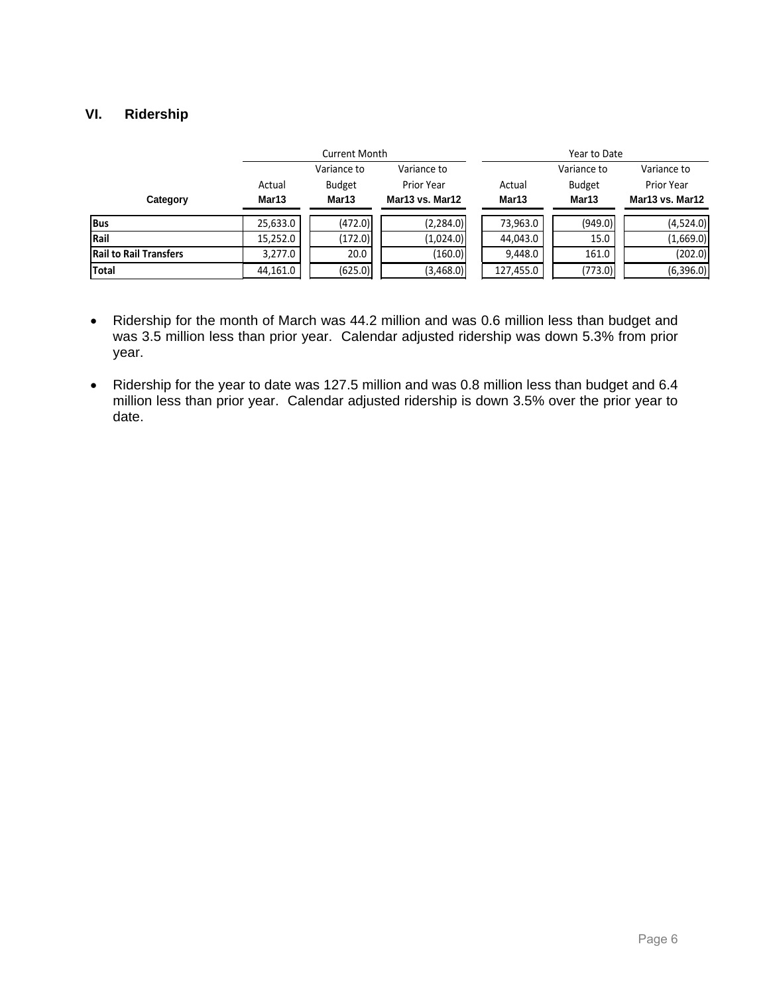#### **VI. Ridership**

|                               |          | <b>Current Month</b>       |                 |           | Year to Date  |                 |  |  |
|-------------------------------|----------|----------------------------|-----------------|-----------|---------------|-----------------|--|--|
|                               |          | Variance to<br>Variance to |                 |           | Variance to   | Variance to     |  |  |
|                               | Actual   | <b>Budget</b>              | Prior Year      | Actual    | <b>Budget</b> | Prior Year      |  |  |
| Category                      | Mar13    | Mar13                      | Mar13 vs. Mar12 | Mar13     | Mar13         | Mar13 vs. Mar12 |  |  |
| <b>Bus</b>                    | 25,633.0 | (472.0)                    | (2, 284.0)      | 73,963.0  | (949.0)       | (4,524.0)       |  |  |
| Rail                          | 15,252.0 | (172.0)                    | (1,024.0)       | 44,043.0  | 15.0          | (1,669.0)       |  |  |
| <b>Rail to Rail Transfers</b> | 3,277.0  | 20.0                       | (160.0)         | 9,448.0   | 161.0         | (202.0)         |  |  |
| <b>Total</b>                  | 44,161.0 | (625.0)                    | (3,468.0)       | 127,455.0 | (773.0)       | (6,396.0)       |  |  |

- Ridership for the month of March was 44.2 million and was 0.6 million less than budget and was 3.5 million less than prior year. Calendar adjusted ridership was down 5.3% from prior year.
- Ridership for the year to date was 127.5 million and was 0.8 million less than budget and 6.4 million less than prior year. Calendar adjusted ridership is down 3.5% over the prior year to date.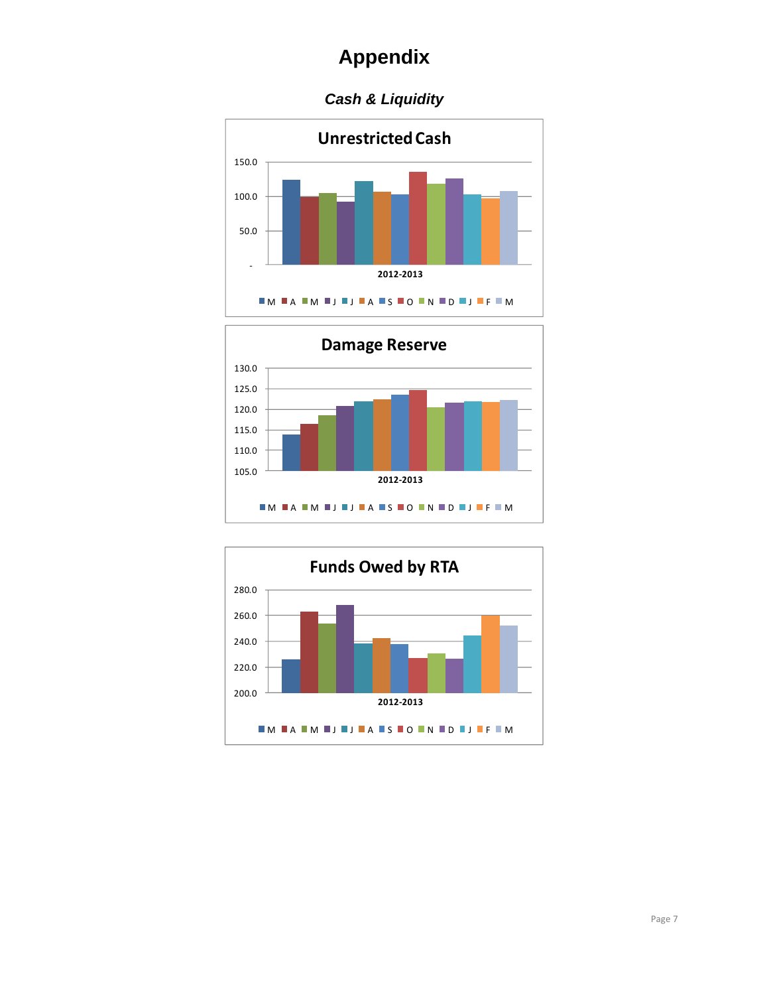### *Cash & Liquidity*





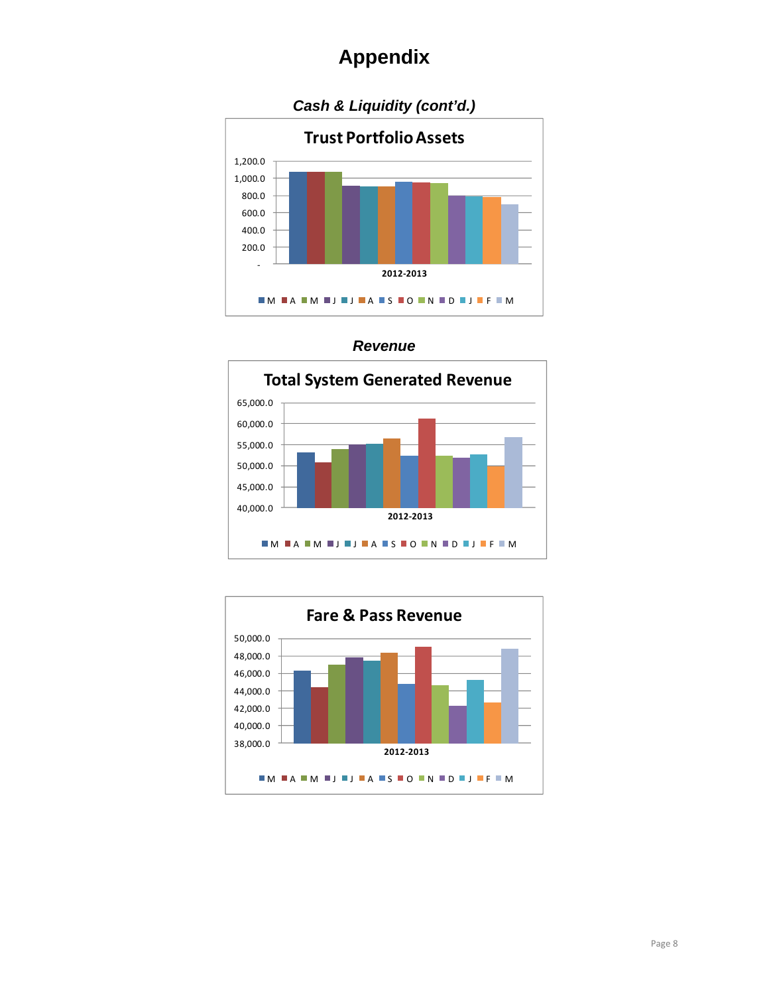



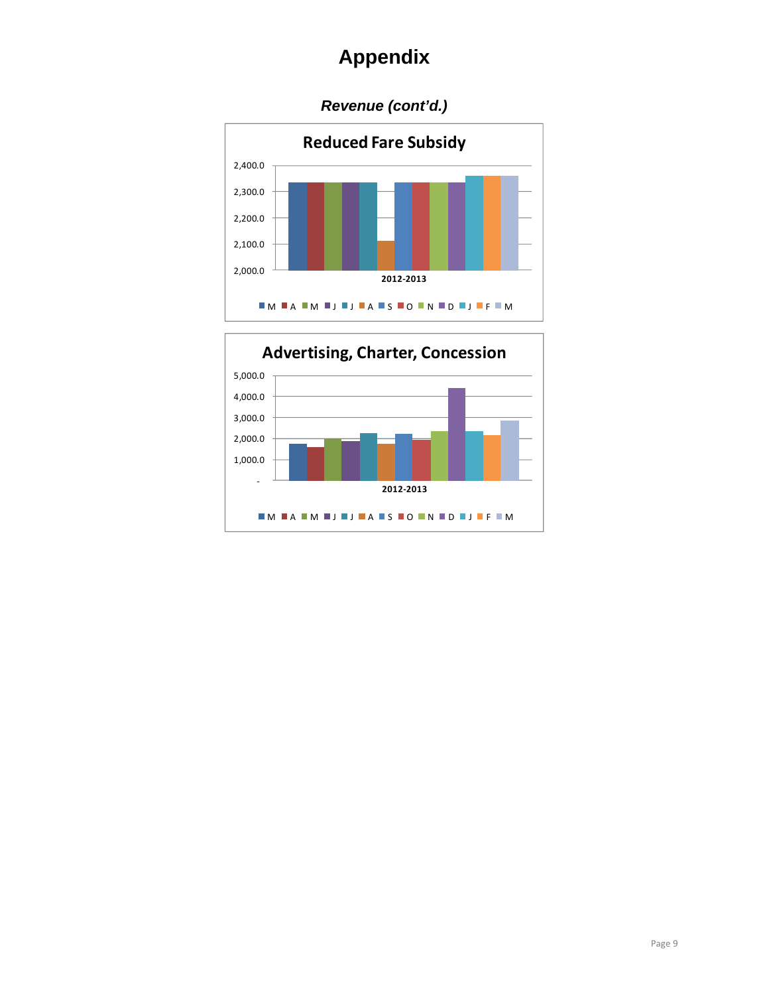### *Revenue (cont'd.)*



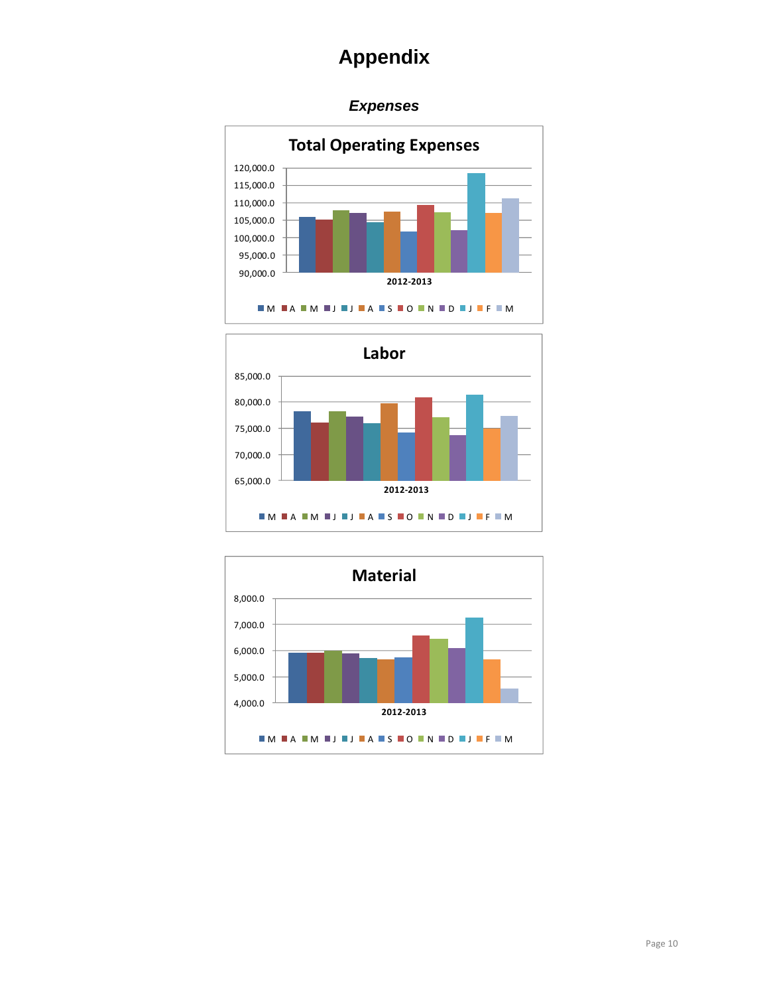### *Expenses*